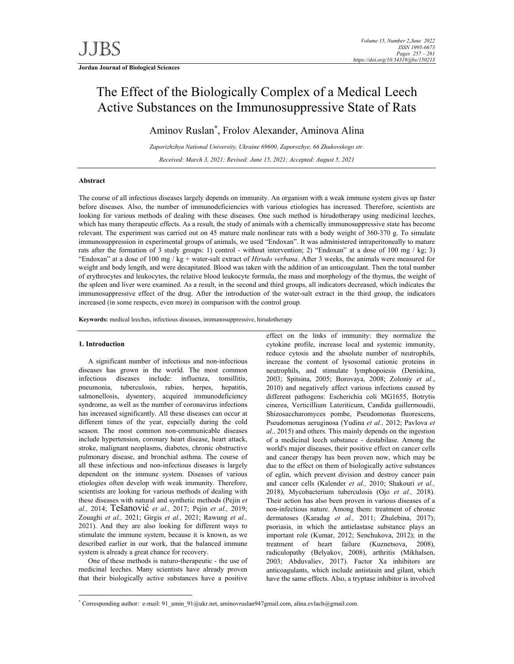**Jordan Journal of Biological Sciences** 

# The Effect of the Biologically Complex of a Medical Leech Active Substances on the Immunosuppressive State of Rats

Aminov Ruslan\* , Frolov Alexander, Aminova Alina

*Zaporizhzhya National University, Ukraine 69600, Zaporozhye, 66 Zhukovskogo str. Received: March 3, 2021; Revised: June 15, 2021; Accepted: August 5, 2021* 

### **Abstract**

The course of all infectious diseases largely depends on immunity. An organism with a weak immune system gives up faster before diseases. Also, the number of immunodeficiencies with various etiologies has increased. Therefore, scientists are looking for various methods of dealing with these diseases. One such method is hirudotherapy using medicinal leeches, which has many therapeutic effects. As a result, the study of animals with a chemically immunosuppressive state has become relevant. The experiment was carried out on 45 mature male nonlinear rats with a body weight of 360-370 g. To simulate immunosuppression in experimental groups of animals, we used "Endoxan". It was administered intraperitoneally to mature rats after the formation of 3 study groups: 1) control - without intervention; 2) "Endoxan" at a dose of 100 mg / kg; 3) "Endoxan" at a dose of 100 mg / kg + water-salt extract of *Hirudo verbanа*. After 3 weeks, the animals were measured for weight and body length, and were decapitated. Blood was taken with the addition of an anticoagulant. Then the total number of erythrocytes and leukocytes, the relative blood leukocyte formula, the mass and morphology of the thymus, the weight of the spleen and liver were examined. As a result, in the second and third groups, all indicators decreased, which indicates the immunosuppressive effect of the drug. After the introduction of the water-salt extract in the third group, the indicators increased (in some respects, even more) in comparison with the control group.

**Keywords:** medical leeches, infectious diseases, immunosuppressive, hirudotherapy

### **1. Introduction**

-

A significant number of infectious and non-infectious diseases has grown in the world. The most common infectious diseases include: influenza, tonsillitis, pneumonia, tuberculosis, rabies, herpes, hepatitis, salmonellosis, dysentery, acquired immunodeficiency syndrome, as well as the number of coronavirus infections has increased significantly. All these diseases can occur at different times of the year, especially during the cold season. The most common non-communicable diseases include hypertension, coronary heart disease, heart attack, stroke, malignant neoplasms, diabetes, chronic obstructive pulmonary disease, and bronchial asthma. The course of all these infectious and non-infectious diseases is largely dependent on the immune system. Diseases of various etiologies often develop with weak immunity. Therefore, scientists are looking for various methods of dealing with these diseases with natural and synthetic methods (Pejin *et al.,* 2014; Tešanović *et al.,* 2017; Pejin *et al.,* 2019; Zouaghi *et al.,* 2021; Girgis *et al.,* 2021; Rawung *et al.,* 2021). And they are also looking for different ways to stimulate the immune system, because it is known, as we described earlier in our work, that the balanced immune system is already a great chance for recovery.

One of these methods is naturo-therapeutic - the use of medicinal leeches. Many scientists have already proven that their biologically active substances have a positive

effect on the links of immunity: they normalize the cytokine profile, increase local and systemic immunity, reduce cytosis and the absolute number of neutrophils, increase the content of lysosomal cationic proteins in neutrophils, and stimulate lymphopoiesis (Deniskina, 2003; Spitsina, 2005; Borovaya, 2008; Zoloniy *et al.*, 2010) and negatively affect various infections caused by different pathogens: Escherichia coli MG1655, Botrytis cinerea, Verticillium Lateriticum, Candida guillermoudii, Shizosaccharomyces pombe, Pseudomonas fluorescens, Pseudomonas aeruginosa (Yudina *et al.,* 2012; Pavlova *et al.,* 2015) and others. This mainly depends on the ingestion of a medicinal leech substance - destabilase. Among the world's major diseases, their positive effect on cancer cells and cancer therapy has been proven now, which may be due to the effect on them of biologically active substances of eglin, which prevent division and destroy cancer pain and cancer cells (Kalender *et al.,* 2010; Shakouri *et al.,* 2018), Mycobacterium tuberculosis (Ojo *et al.,* 2018). Their action has also been proven in various diseases of a non-infectious nature. Among them: treatment of chronic dermatoses (Karadag *et al.,* 2011; Zhulebina, 2017); psoriasis, in which the antielastase substance plays an important role (Kumar, 2012; Senchukova, 2012); in the treatment of heart failure (Kuznetsova, 2008), radiculopathy (Belyakov, 2008), arthritis (Mikhalsen, 2003; Abduvaliev, 2017). Factor Xa inhibitors are anticoagulants, which include antistasin and gilant, which have the same effects. Also, a tryptase inhibitor is involved

<sup>\*</sup> Corresponding author: e-mail: 91\_amin\_91@ukr.net, aminovruslan947gmail.com, alina.evlach@gmail.com.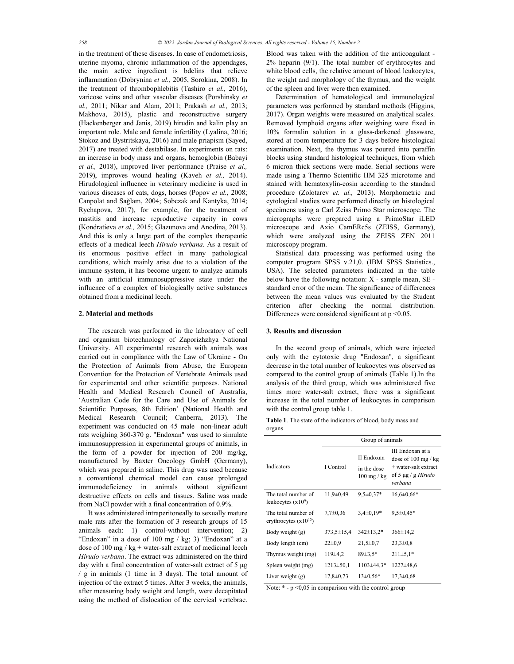in the treatment of these diseases. In case of endometriosis, uterine myoma, chronic inflammation of the appendages, the main active ingredient is bdelins that relieve inflammation (Dobrynina *et al.,* 2005, Sorokina, 2008). In the treatment of thrombophlebitis (Tashiro *et al.,* 2016), varicose veins and other vascular diseases (Porshinsky *et al.,* 2011; Nikar and Alam, 2011; Prakash *et al.,* 2013; Makhova, 2015), plastic and reconstructive surgery (Hackenberger and Janis, 2019) hirudin and kalin play an important role. Male and female infertility (Lyalina, 2016; Stokoz and Bystritskaya, 2016) and male priapism (Sayed, 2017) are treated with destabilase. In experiments on rats: an increase in body mass and organs, hemoglobin (Babayi *et al.,* 2018), improved liver performance (Praise *et al.,* 2019), improves wound healing (Kaveh *et al.,* 2014). Hirudological influence in veterinary medicine is used in various diseases of cats, dogs, horses (Popov *et al.,* 2008; Canpolat and Sağlam, 2004; Sobczak and Kantyka, 2014; Rychapova, 2017), for example, for the treatment of mastitis and increase reproductive capacity in cows (Kondratieva *et al.,* 2015; Glazunova and Anodina, 2013). And this is only a large part of the complex therapeutic effects of a medical leech *Hirudo verbanа.* As a result of its enormous positive effect in many pathological conditions, which mainly arise due to a violation of the immune system, it has become urgent to analyze animals with an artificial immunosuppressive state under the influence of a complex of biologically active substances obtained from a medicinal leech.

#### **2. Material and methods**

The research was performed in the laboratory of cell and organism biotechnology of Zaporizhzhya National University. All experimental research with animals was carried out in compliance with the Law of Ukraine - On the Protection of Animals from Abuse, the European Convention for the Protection of Vertebrate Animals used for experimental and other scientific purposes. National Health and Medical Research Council of Australia, 'Australian Code for the Care and Use of Animals for Scientific Purposes, 8th Edition' (National Health and Medical Research Council; Canberra, 2013). The experiment was conducted on 45 male non-linear adult rats weighing 360-370 g. "Endoxan" was used to simulate immunosuppression in experimental groups of animals, in the form of a powder for injection of 200 mg/kg, manufactured by Baxter Oncology GmbH (Germany), which was prepared in saline. This drug was used because a conventional chemical model can cause prolonged immunodeficiency in animals without significant destructive effects on cells and tissues. Saline was made from NaCl powder with a final concentration of 0.9%.

It was administered intraperitoneally to sexually mature male rats after the formation of 3 research groups of 15 animals each: 1) control-without intervention; 2) "Endoxan" in a dose of 100 mg / kg; 3) "Endoxan" at a dose of  $100$  mg / kg + water-salt extract of medicinal leech *Hirudo verbanа*. The extract was administered on the third day with a final concentration of water-salt extract of 5 μg / g in animals (1 time in 3 days). The total amount of injection of the extract 5 times. After 3 weeks, the animals, after measuring body weight and length, were decapitated using the method of dislocation of the cervical vertebrae.

Blood was taken with the addition of the anticoagulant - 2% heparin (9/1). The total number of erythrocytes and white blood cells, the relative amount of blood leukocytes, the weight and morphology of the thymus, and the weight of the spleen and liver were then examined.

Determination of hematological and immunological parameters was performed by standard methods (Higgins, 2017). Organ weights were measured on analytical scales. Removed lymphoid organs after weighing were fixed in 10% formalin solution in a glass-darkened glassware, stored at room temperature for 3 days before histological examination. Next, the thymus was poured into paraffin blocks using standard histological techniques, from which 6 micron thick sections were made. Serial sections were made using a Thermo Scientific HM 325 microtome and stained with hematoxylin-eosin according to the standard procedure (Zolotarev *et. al.,* 2013). Morphometric and cytological studies were performed directly on histological specimens using a Carl Zeiss Primo Star microscope. The micrographs were prepared using a PrimoStar iLED microscope and Axio CamERc5s (ZEISS, Germany), which were analyzed using the ZEISS ZEN 2011 microscopy program.

Statistical data processing was performed using the computer program SPSS v.21,0. (IBM SPSS Statistics., USA). The selected parameters indicated in the table below have the following notation: X - sample mean, SE standard error of the mean. The significance of differences between the mean values was evaluated by the Student criterion after checking the normal distribution. Differences were considered significant at  $p < 0.05$ .

## **3. Results and discussion**

In the second group of animals, which were injected only with the cytotoxic drug "Endoxan", a significant decrease in the total number of leukocytes was observed as compared to the control group of animals (Table 1).In the analysis of the third group, which was administered five times more water-salt extract, there was a significant increase in the total number of leukocytes in comparison with the control group table 1.

**Table 1**. The state of the indicators of blood, body mass and organs

|                                                  | Group of animals |                                                    |                                                                                                            |  |  |
|--------------------------------------------------|------------------|----------------------------------------------------|------------------------------------------------------------------------------------------------------------|--|--|
| Indicators                                       | I Control        | II Endoxan<br>in the dose<br>$100 \text{ mg}$ / kg | III Endoxan at a<br>dose of $100 \text{ mg}$ / kg<br>+ water-salt extract<br>of 5 µg / g Hirudo<br>verbana |  |  |
| The total number of<br>leukocytes $(x10^9)$      | $11,9+0,49$      | $9.5 \pm 0.37*$                                    | $16,6 \pm 0.66*$                                                                                           |  |  |
| The total number of<br>erythrocytes $(x10^{12})$ | $7.7 \pm 0.36$   | $3,4\pm0.19*$                                      | $9.5 \pm 0.45*$                                                                                            |  |  |
| Body weight (g)                                  | $373.5 \pm 15.4$ | $342 \pm 13.2*$                                    | $366 \pm 14.2$                                                                                             |  |  |
| Body length (cm)                                 | $22 \pm 0.9$     | $21,5 \pm 0.7$                                     | $23.3 \pm 0.8$                                                                                             |  |  |
| Thymus weight (mg)                               | 119±4.2          | $89±3.5*$                                          | $211 \pm 5.1*$                                                                                             |  |  |
| Spleen weight (mg)                               | $1213 \pm 50.1$  | $1103 \pm 44.3*$                                   | $1227 \pm 48.6$                                                                                            |  |  |
| Liver weight $(g)$                               | $17,8 \pm 0.73$  | $13\pm0.56*$                                       | $17,3 \pm 0.68$                                                                                            |  |  |

Note:  $*$  -  $p$  <0,05 in comparison with the control group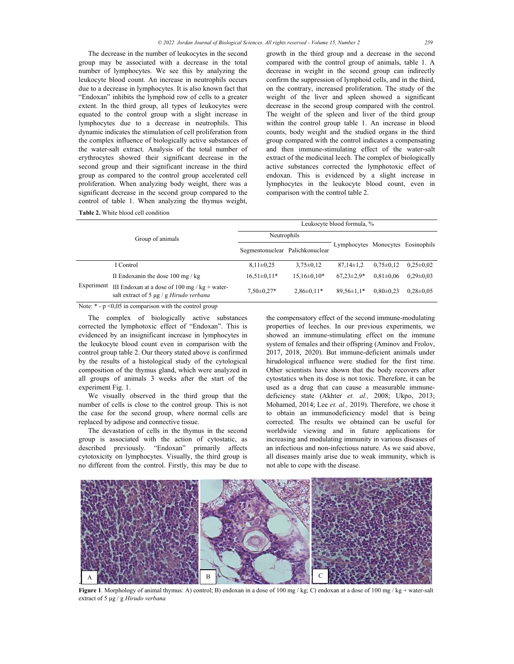The decrease in the number of leukocytes in the second group may be associated with a decrease in the total number of lymphocytes. We see this by analyzing the leukocyte blood count. An increase in neutrophils occurs due to a decrease in lymphocytes. It is also known fact that "Endoxan" inhibits the lymphoid row of cells to a greater extent. In the third group, all types of leukocytes were equated to the control group with a slight increase in lymphocytes due to a decrease in neutrophils. This dynamic indicates the stimulation of cell proliferation from the complex influence of biologically active substances of the water-salt extract. Analysis of the total number of erythrocytes showed their significant decrease in the second group and their significant increase in the third group as compared to the control group accelerated cell proliferation. When analyzing body weight, there was a significant decrease in the second group compared to the control of table 1. When analyzing the thymus weight,

growth in the third group and a decrease in the second compared with the control group of animals, table 1. A decrease in weight in the second group can indirectly confirm the suppression of lymphoid cells, and in the third, on the contrary, increased proliferation. The study of the weight of the liver and spleen showed a significant decrease in the second group compared with the control. The weight of the spleen and liver of the third group within the control group table 1. An increase in blood counts, body weight and the studied organs in the third group compared with the control indicates a compensating and then immune-stimulating effect of the water-salt extract of the medicinal leech. The complex of biologically active substances corrected the lymphotoxic effect of endoxan. This is evidenced by a slight increase in lymphocytes in the leukocyte blood count, even in comparison with the control table 2.

| <b>Table 2.</b> White blood cell condition |
|--------------------------------------------|
|--------------------------------------------|

| Group of animals |                                                                                                         | Leukocyte blood formula, %      |                  |                                   |                 |                 |  |  |
|------------------|---------------------------------------------------------------------------------------------------------|---------------------------------|------------------|-----------------------------------|-----------------|-----------------|--|--|
|                  |                                                                                                         | Neutrophils                     |                  |                                   |                 |                 |  |  |
|                  |                                                                                                         | Segmentonuclear Palichkonuclear |                  | Lymphocytes Monocytes Eosinophils |                 |                 |  |  |
|                  | I Control                                                                                               | $8.11 \pm 0.25$                 | $3.75 \pm 0.12$  | $87.14 \pm 1.2$                   | $0.75 \pm 0.12$ | $0.25 \pm 0.02$ |  |  |
| Experiment       | II Endoxanin the dose $100 \text{ mg}$ / kg                                                             | $16,51\pm0,11*$                 | $15.16\pm0.10*$  | $67.23 \pm 2.9*$                  | $0.81 \pm 0.06$ | $0.29 \pm 0.03$ |  |  |
|                  | III Endoxan at a dose of $100 \text{ mg}$ / kg + water-<br>salt extract of 5 $\mu$ g / g Hirudo verbana | $7,50\pm0.27*$                  | $2.86 \pm 0.11*$ | $89.56 \pm 1.1*$                  | $0.80 \pm 0.23$ | $0.28 \pm 0.05$ |  |  |

Note:  $*$  -  $p$  <0,05 in comparison with the control group

The complex of biologically active substances corrected the lymphotoxic effect of "Endoxan". This is evidenced by an insignificant increase in lymphocytes in the leukocyte blood count even in comparison with the control group table 2. Our theory stated above is confirmed by the results of a histological study of the cytological composition of the thymus gland, which were analyzed in all groups of animals 3 weeks after the start of the experiment Fig. 1.

We visually observed in the third group that the number of cells is close to the control group. This is not the case for the second group, where normal cells are replaced by adipose and connective tissue.

The devastation of cells in the thymus in the second group is associated with the action of cytostatic, as described previously. "Endoxan" primarily affects cytotoxicity on lymphocytes. Visually, the third group is no different from the control. Firstly, this may be due to

the compensatory effect of the second immune-modulating properties of leeches. In our previous experiments, we showed an immune-stimulating effect on the immune system of females and their offspring (Aminov and Frolov, 2017, 2018, 2020). But immune-deficient animals under hirudological influence were studied for the first time. Other scientists have shown that the body recovers after cytostatics when its dose is not toxic. Therefore, it can be used as a drug that can cause a measurable immunеdeficiency state (Akhter *et. al.,* 2008; Ukpo, 2013; Mohamed, 2014; Lee *et. al.,* 2019). Therefore, we chose it to obtain an immunodeficiency model that is being corrected. The results we obtained can be useful for worldwide viewing and in future applications for increasing and modulating immunity in various diseases of an infectious and non-infectious nature. As we said above, all diseases mainly arise due to weak immunity, which is not able to cope with the disease.



**Figure 1**. Morphology of animal thymus: А) control; В) endoxan in a dose of 100 mg / kg; С) endoxan at a dose of 100 mg / kg + water-salt extract of 5 μg / g *Hirudo verbanа*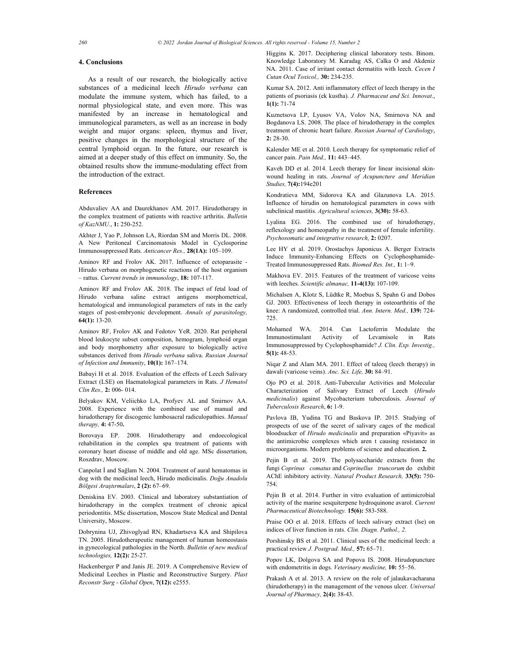### **4. Conclusions**

As a result of our research, the biologically active substances of a medicinal leech *Hirudo verbanа* can modulate the immune system, which has failed, to a normal physiological state, and even more. This was manifested by an increase in hematological and immunological parameters, as well as an increase in body weight and major organs: spleen, thymus and liver, positive changes in the morphological structure of the central lymphoid organ. In the future, our research is aimed at a deeper study of this effect on immunity. So, the obtained results show the immune-modulating effect from the introduction of the extract.

### **References**

Abduvaliev AA and Daurekhanov AM. 2017. Hirudotherapy in the complex treatment of patients with reactive arthritis. *Bulletin of KazNMU*., **1:** 250-252.

Akhter J, Yao P, Johnson LA, Riordan SM and Morris DL. 2008. A New Peritoneal Carcinomatosis Model in Cyclosporine Immunosuppressed Rats. *Anticancer Res.,* **28(1А):** 105–109.

Aminov RF and Frolov AK. 2017. Influence of ectoparasite - Hirudo verbana on morphogenetic reactions of the host organism – rattus. *Current trends in immunology*, **18:** 107-117.

Aminov RF and Frolov AK. 2018. The impact of fetal load of Hirudo verbana saline extract antigens morphometrical, hematological and immunological parameters of rats in the early stages of post-embryonic development. *Annals of parasitology,* **64(1):** 13-20.

Aminov RF, Frolov AK and Fedotov YeR. 2020. Rat peripheral blood leukocyte subset composition, hemogram, lymphoid organ and body morphometry after exposure to biologically active substances derived from *Hirudo verbana* saliva. *Russian Journal of Infection and Immunity*, **10(1):** 167–174.

Babayi H et al. 2018. Evaluation of the effects of Leech Salivary Extract (LSE) on Haematological parameters in Rats. *J Hematol Clin Res.,* **2:** 006- 014.

Belyakov KM, Veliichko LA, Profyev AL and Smirnov AA. 2008. Experience with the combined use of manual and hirudotherapy for discogenic lumbosacral radiculopathies. *Manual therapy,* **4:** 47-50**.**

Borovaya EP. 2008. Hirudotherapy and endoecological rehabilitation in the complex spa treatment of patients with coronary heart disease of middle and old age. MSc dissertation, Roszdrav, Moscow.

Canpolat İ and Sağlam N. 2004. Treatment of aural hematomas in dog with the medicinal leech, Hirudo medicinalis. *Doğu Anadolu Bölgesi Araştırmaları*, **2 (2):** 67–69.

Deniskina EV. 2003. Clinical and laboratory substantiation of hirudotherapy in the complex treatment of chronic apical periodontitis. MSc dissertation, Moscow State Medical and Dental University, Moscow.

Dobrynina UJ, Zhivoglyad RN, Khadartseva KA and Shipilova TN. 2005. Hirudotherapeutic management of human homeostasis in gynecological pathologies in the North. *Bulletin of new medical technologies,* **12(2):** 25-27.

Hackenberger P and Janis JE. 2019. A Comprehensive Review of Medicinal Leeches in Plastic and Reconstructive Surgery. *Plast Reconstr Surg - Global Open*, **7(12):** e2555.

Higgins K. 2017. Deciphering clinical laboratory tests. Binom. Knowledge Laboratory M. Karadag AS, Calka O and Akdeniz NA. 2011. Сase of irritant contact dermatitis with leech. *Cecen I Cutan Ocul Toxicol.,* **30:** 234-235.

Kumar SA. 2012. Anti inflammatory effect of leech therapy in the patients of psoriasis (ek kustha). *J. Pharmaceut and Sci. Innovat*., **1(1):** 71-74

Kuznetsova LP, Lyusov VA, Volov NA, Smirnova NA and Bogdanova LS. 2008. The place of hirudotherapy in the complex treatment of chronic heart failure. *Russian Journal of Cardiology*, **2:** 28-30.

Kalender ME et al. 2010. Leech therapy for symptomatic relief of cancer pain. *Pain Med.,* **11:** 443–445.

Kaveh DD et al. 2014. Leech therapy for linear incisional skinwound healing in rats. *Journal of Acupuncture and Meridian Studies,* **7(4):**194e201

Kondratieva MM, Sidorova KA and Glazunova LA. 2015. Influence of hirudin on hematological parameters in cows with subclinical mastitis. *Agricultural sciences,* **3(30):** 58-63.

Lyalina EG. 2016. The combined use of hirudotherapy, reflexology and homeopathy in the treatment of female infertility. *Psychosomatic and integrative research,* **2:** 0207.

Lee HY et al. 2019. Orostachys Japonicus A. Berger Extracts Induce Immunity-Enhancing Effects on Cyclophosphamide-Treated Immunosuppressed Rats. *Biomed Res. Int.,* **1:** 1–9.

Makhova EV. 2015. Features of the treatment of varicose veins with leeches. *Scientific almanac,* **11-4(13):** 107-109.

Michalsen A, Klotz S, Lüdtke R, Moebus S, Spahn G and Dobos GJ. 2003. Effectiveness of leech therapy in osteoarthritis of the knee: A randomized, controlled trial. *Ann. Intern. Med.,* **139:** 724- 725.

Mohamed WA. 2014. Can Lactoferrin Modulate the Immunostimulant Activity of Levamisole in Rats Immunosuppressed by Cyclophosphamide? *J. Clin. Exp. Investig.,* **5(1):** 48-53.

Niqar Z and Alam MA. 2011. Effect of taleeq (leech therapy) in dawali (varicose veins). *Anc. Sci. Life,* **30:** 84–91.

Ojo PО et al. 2018. Anti-Tubercular Activities and Molecular Characterization of Salivary Extract of Leech (*Hirudo medicinalis*) against Mycobacterium tuberculosis. *Journal of Tuberculosis Research*, **6:** 1-9.

Pavlova IB, Yudina TG and Baskova IP. 2015. Studying of prospects of use of the secret of salivary cages of the medical bloodsucker of *Hirudo medicinalis* and preparation «Piyavit» as the antimicrobic complexes which aren t causing resistance in microorganisms. Modern problems of science and education. **2***.*

Pejin B et al. 2019. The polysaccharide extracts from the fungi *Coprinus comatus* and *Coprinellus truncorum* do exhibit AChE inhibitory activity. *Natural Product Research,* **33(5):** 750- 754.

Pejin B et al. 2014. Further in vitro evaluation of antimicrobial activity of the marine sesquiterpene hydroquinone avarol. *Current Pharmaceutical Biotechnology.* **15(6):** 583-588.

Praise OO et al. 2018. Effects of leech salivary extract (lse) on indices of liver function in rats. *Clin. Diagn. Pathol., 2*.

Porshinsky BS et al. 2011. Clinical uses of the medicinal leech: а practical review *J. Postgrad. Med.,* **57:** 65–71.

Popov LK, Dolgova SA and Popova IS. 2008. Hirudopuncture with endometritis in dogs. *Veterinary medicine,* **10:** 55–56.

Prakash A et al. 2013. A review on the role of jalaukavacharana (hirudotherapy) in the management of the venous ulcer. *Universal Journal of Pharmacy,* **2(4):** 38-43.